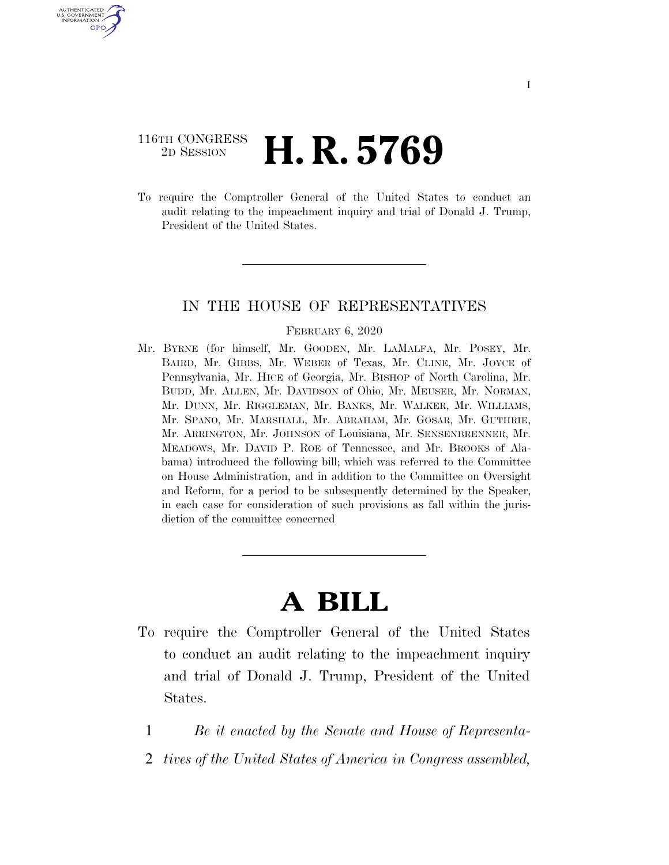# 116TH CONGRESS <sup>2D SESSION</sup> **H. R. 5769**

U.S. GOVERNMENT GPO

> To require the Comptroller General of the United States to conduct an audit relating to the impeachment inquiry and trial of Donald J. Trump, President of the United States.

## IN THE HOUSE OF REPRESENTATIVES

#### FEBRUARY 6, 2020

Mr. BYRNE (for himself, Mr. GOODEN, Mr. LAMALFA, Mr. POSEY, Mr. BAIRD, Mr. GIBBS, Mr. WEBER of Texas, Mr. CLINE, Mr. JOYCE of Pennsylvania, Mr. HICE of Georgia, Mr. BISHOP of North Carolina, Mr. BUDD, Mr. ALLEN, Mr. DAVIDSON of Ohio, Mr. MEUSER, Mr. NORMAN, Mr. DUNN, Mr. RIGGLEMAN, Mr. BANKS, Mr. WALKER, Mr. WILLIAMS, Mr. SPANO, Mr. MARSHALL, Mr. ABRAHAM, Mr. GOSAR, Mr. GUTHRIE, Mr. ARRINGTON, Mr. JOHNSON of Louisiana, Mr. SENSENBRENNER, Mr. MEADOWS, Mr. DAVID P. ROE of Tennessee, and Mr. BROOKS of Alabama) introduced the following bill; which was referred to the Committee on House Administration, and in addition to the Committee on Oversight and Reform, for a period to be subsequently determined by the Speaker, in each case for consideration of such provisions as fall within the jurisdiction of the committee concerned

# **A BILL**

- To require the Comptroller General of the United States to conduct an audit relating to the impeachment inquiry and trial of Donald J. Trump, President of the United States.
	- 1 *Be it enacted by the Senate and House of Representa-*
	- 2 *tives of the United States of America in Congress assembled,*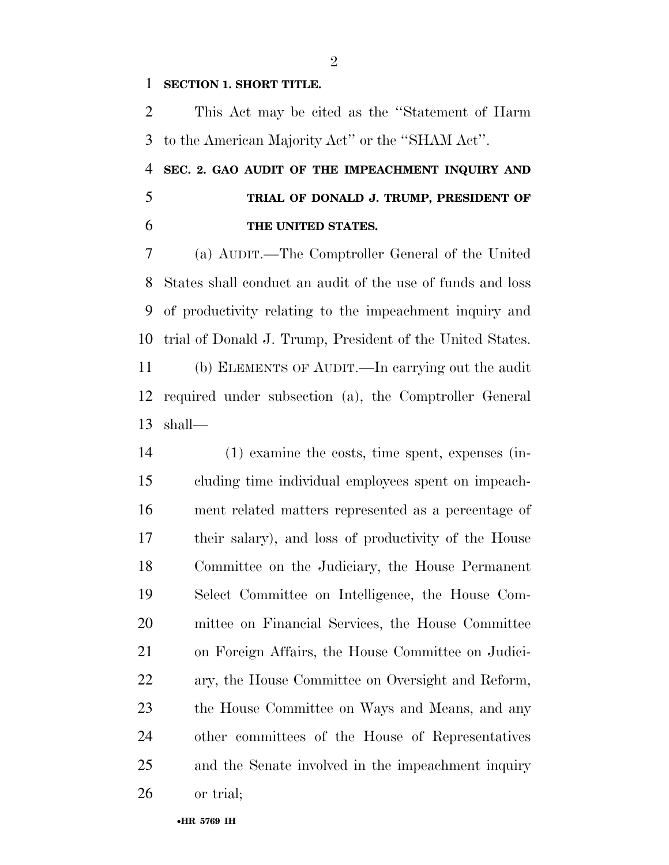## **SECTION 1. SHORT TITLE.**

 This Act may be cited as the ''Statement of Harm to the American Majority Act'' or the ''SHAM Act''.

 **SEC. 2. GAO AUDIT OF THE IMPEACHMENT INQUIRY AND TRIAL OF DONALD J. TRUMP, PRESIDENT OF THE UNITED STATES.** 

 (a) AUDIT.—The Comptroller General of the United States shall conduct an audit of the use of funds and loss of productivity relating to the impeachment inquiry and trial of Donald J. Trump, President of the United States. (b) ELEMENTS OF AUDIT.—In carrying out the audit required under subsection (a), the Comptroller General shall—

 (1) examine the costs, time spent, expenses (in- cluding time individual employees spent on impeach- ment related matters represented as a percentage of their salary), and loss of productivity of the House Committee on the Judiciary, the House Permanent Select Committee on Intelligence, the House Com- mittee on Financial Services, the House Committee on Foreign Affairs, the House Committee on Judici- ary, the House Committee on Oversight and Reform, the House Committee on Ways and Means, and any other committees of the House of Representatives and the Senate involved in the impeachment inquiry or trial;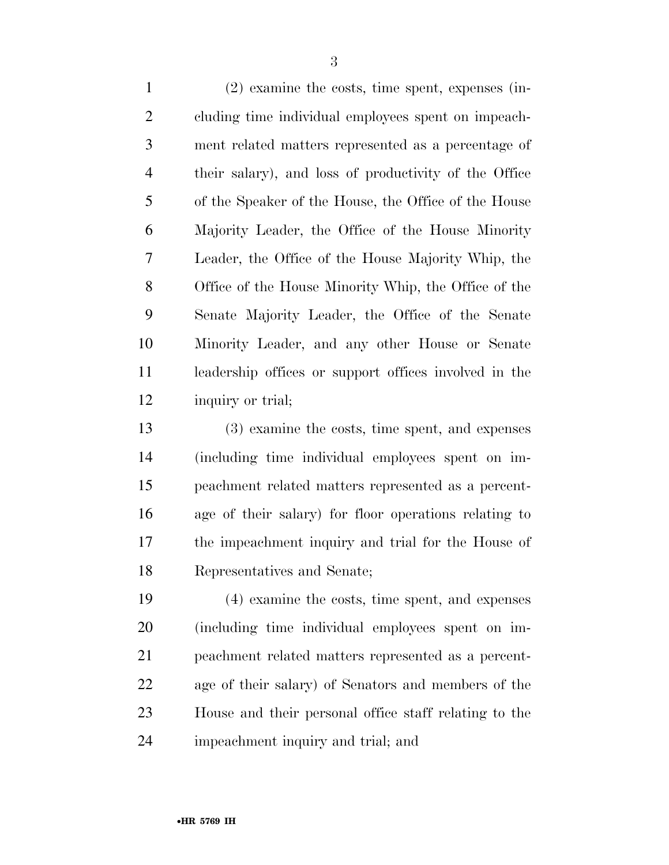(2) examine the costs, time spent, expenses (in- cluding time individual employees spent on impeach- ment related matters represented as a percentage of their salary), and loss of productivity of the Office of the Speaker of the House, the Office of the House Majority Leader, the Office of the House Minority Leader, the Office of the House Majority Whip, the Office of the House Minority Whip, the Office of the Senate Majority Leader, the Office of the Senate Minority Leader, and any other House or Senate leadership offices or support offices involved in the inquiry or trial;

 (3) examine the costs, time spent, and expenses (including time individual employees spent on im- peachment related matters represented as a percent- age of their salary) for floor operations relating to the impeachment inquiry and trial for the House of Representatives and Senate;

 (4) examine the costs, time spent, and expenses (including time individual employees spent on im- peachment related matters represented as a percent- age of their salary) of Senators and members of the House and their personal office staff relating to the impeachment inquiry and trial; and